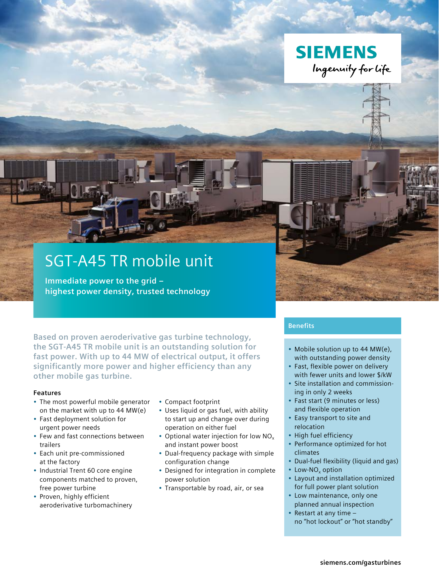

# SGT-A45 TR mobile unit

**Immediate power to the grid – highest power density, trusted technology**

**Based on proven aeroderivative gas turbine technology, the SGT-A45 TR mobile unit is an outstanding solution for fast power. With up to 44 MW of electrical output, it offers significantly more power and higher efficiency than any other mobile gas turbine.**

#### **Features**

- The most powerful mobile generator on the market with up to 44 MW(e)
- Fast deployment solution for urgent power needs
- Few and fast connections between trailers
- Each unit pre-commissioned at the factory
- Industrial Trent 60 core engine components matched to proven, free power turbine
- Proven, highly efficient aeroderivative turbomachinery
- Compact footprint
- Uses liquid or gas fuel, with ability to start up and change over during operation on either fuel
- Optional water injection for low  $NO<sub>x</sub>$ and instant power boost
- Dual-frequency package with simple configuration change
- Designed for integration in complete power solution
- Transportable by road, air, or sea

# **Benefits**

- Mobile solution up to 44 MW(e), with outstanding power density
- Fast, flexible power on delivery with fewer units and lower \$/kW
- Site installation and commissioning in only 2 weeks
- Fast start (9 minutes or less) and flexible operation
- Easy transport to site and relocation
- High fuel efficiency
- Performance optimized for hot climates
- Dual-fuel flexibility (liquid and gas)
- Low-NO<sub>x</sub> option
- Layout and installation optimized for full power plant solution
- Low maintenance, only one planned annual inspection
- Restart at any time no "hot lockout" or "hot standby"